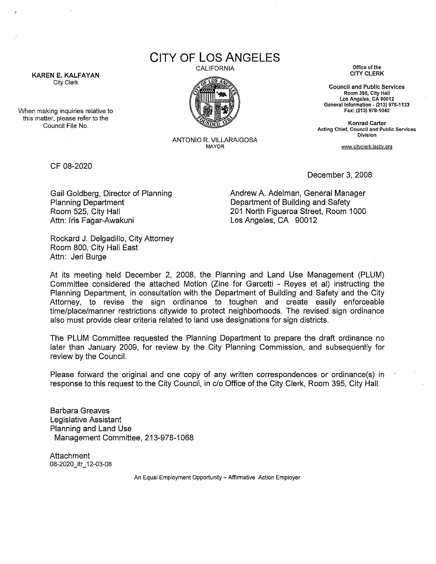**CITY OF LOS ANGELES** 

CALIFORNIA **Office of the** 



ANTONIO R. VILLARAIGOSA

CITY CLERK

**Council and Public Services Room 395, City Hall Los Angeles, CA 90012 General Information- (213) 978-1133 Fax: (213) 978-1040** 

**Konrad Carter Acting Chief, Council and Public Services Division** 

MAYOR **www.cityclerkJacity.org** 

CF 08-2020

KAREN E. KALFAYAN City Clerk

When making inquiries relative to this matter, please refer to the Council File No.

December 3, 2008

Gail Goldberg, Director of Planning Planning Department Room 525, City Hall Attn: Iris Fagar-Awakuni

Andrew A. Adelman, General Manager Department of Building and Safety 201 North Figueroa Street, Room 1000 Los Angeles, CA 90012

Reckard J. Delgadillo, City Attorney Room 800, City Hall East Attn: Jeri Burge

At its meeting held December 2, 2008, the Planning and Land Use Management (PLUM) Committee considered the attached Motion (Zine for Garcetti - Reyes et al) instructing the Planning Department, in consultation with the Department of Building and Safety and the City Attorney, to revise the sign ordinance to toughen and create easily enforceable time/place/manner restrictions citywide to protect neighborhoods. The revised sign ordinance also must provide clear criteria related to land use designations for sign districts.

The PLUM Committee requested the Planning Department to prepare the draft ordinance no later than January 2009, for review by the City Planning Commission, and subsequently for review by the Council.

Please forward the original and one copy of any written correspondences or ordinance(s) in response to this request to the City Council, in c/o Office of the City Clerk, Room 395, City Hall.

Barbara Greaves Legislative Assistant Planning and Land Use Management Committee, 213-978-1068

Attachment 08-2020\_1tr\_12-03-08

**An Equal Employment Opportunity- Affirmative Action Employer**